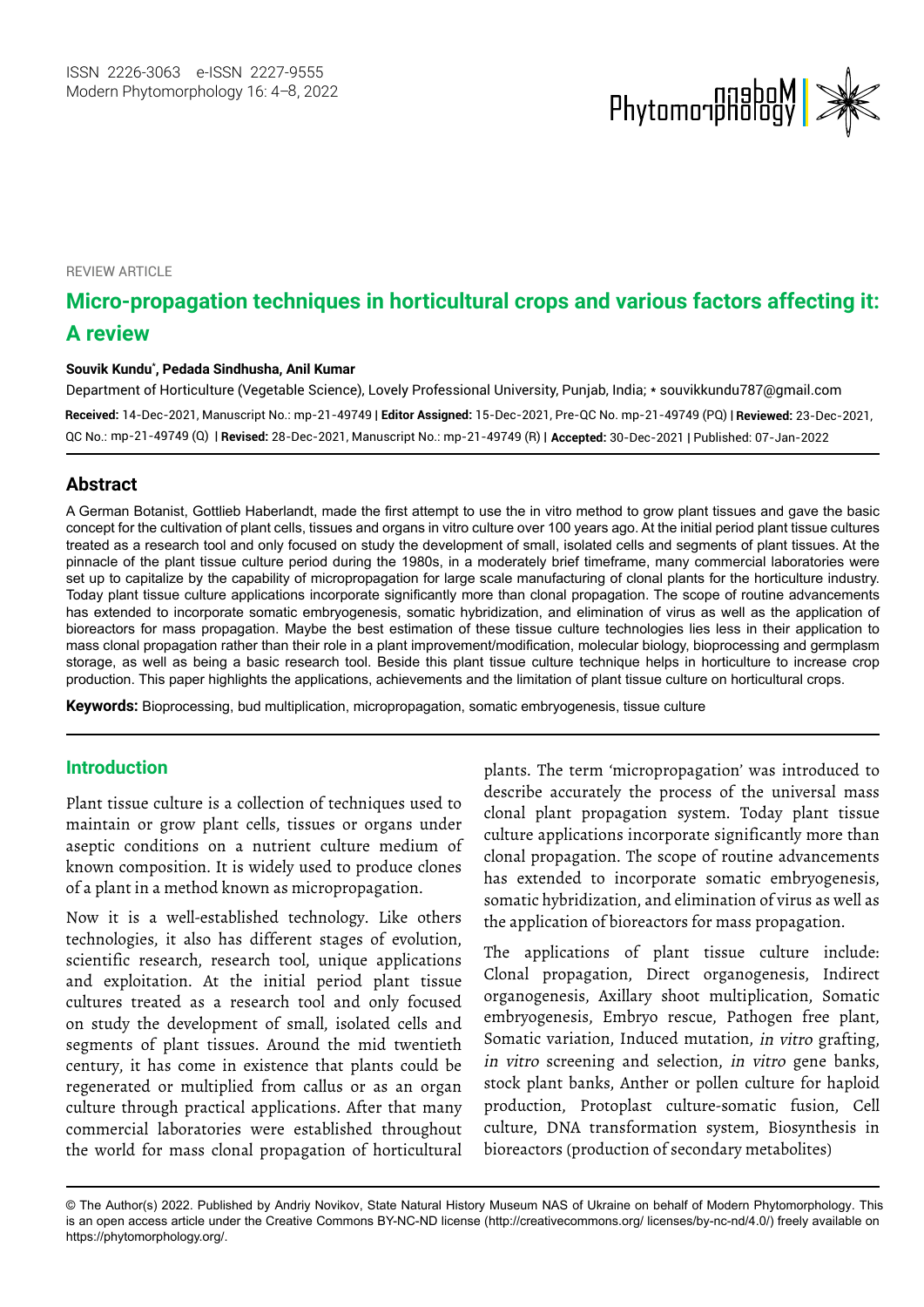

**REVIEW ARTICLE** 

# **Micro-propagation techniques in horticultural crops and various factors affecting it: A review**

#### **Souvik Kundu\* , Pedada Sindhusha, Anil Kumar**

Department of Horticulture (Vegetable Science), Lovely Professional University, Punjab, India; \* [souvikkundu787@gmail.com](mailto:souvikkundu787@gmail.com) **Received:** 14-Dec-2021, Manuscript No.: mp-21-49749 | **Editor Assigned:** 15-Dec-2021, Pre-QC No. mp-21-49749 (PQ) | **Reviewed:** 23-Dec-2021, mp-21-49749 (Q) | **Revised:** 28-Dec-2021, Manuscript No.: mp-21-49749 (R) | **Accepted:** 30-Dec-2021 | Published: 07-Jan-2022 QC No.:

# **Abstract**

A German Botanist, Gottlieb Haberlandt, made the first attempt to use the in vitro method to grow plant tissues and gave the basic concept for the cultivation of plant cells, tissues and organs in vitro culture over 100 years ago. At the initial period plant tissue cultures treated as a research tool and only focused on study the development of small, isolated cells and segments of plant tissues. At the pinnacle of the plant tissue culture period during the 1980s, in a moderately brief timeframe, many commercial laboratories were set up to capitalize by the capability of micropropagation for large scale manufacturing of clonal plants for the horticulture industry. Today plant tissue culture applications incorporate significantly more than clonal propagation. The scope of routine advancements has extended to incorporate somatic embryogenesis, somatic hybridization, and elimination of virus as well as the application of bioreactors for mass propagation. Maybe the best estimation of these tissue culture technologies lies less in their application to mass clonal propagation rather than their role in a plant improvement/modification, molecular biology, bioprocessing and germplasm storage, as well as being a basic research tool. Beside this plant tissue culture technique helps in horticulture to increase crop production. This paper highlights the applications, achievements and the limitation of plant tissue culture on horticultural crops.

**Keywords:** Bioprocessing, bud multiplication, micropropagation, somatic embryogenesis, tissue culture

### **Introduction**

Plant tissue culture is a collection of techniques used to maintain or grow plant cells, tissues or organs under aseptic conditions on a nutrient culture medium of known composition. It is widely used to produce clones of a plant in a method known as micropropagation.

Now it is a well-established technology. Like others technologies, it also has different stages of evolution, scientific research, research tool, unique applications and exploitation. At the initial period plant tissue cultures treated as a research tool and only focused on study the development of small, isolated cells and segments of plant tissues. Around the mid twentieth century, it has come in existence that plants could be regenerated or multiplied from callus or as an organ culture through practical applications. After that many commercial laboratories were established throughout the world for mass clonal propagation of horticultural

plants. The term 'micropropagation' was introduced to describe accurately the process of the universal mass clonal plant propagation system. Today plant tissue culture applications incorporate significantly more than clonal propagation. The scope of routine advancements has extended to incorporate somatic embryogenesis, somatic hybridization, and elimination of virus as well as the application of bioreactors for mass propagation.

The applications of plant tissue culture include: Clonal propagation, Direct organogenesis, Indirect organogenesis, Axillary shoot multiplication, Somatic embryogenesis, Embryo rescue, Pathogen free plant, Somatic variation, Induced mutation, in vitro grafting, in vitro screening and selection, in vitro gene banks, stock plant banks, Anther or pollen culture for haploid production, Protoplast culture-somatic fusion, Cell culture, DNA transformation system, Biosynthesis in bioreactors (production of secondary metabolites)

<sup>©</sup> The Author(s) 2022. Published by Andriy Novikov, State Natural History Museum NAS of Ukraine on behalf of Modern Phytomorphology. This is an open access article under the Creative Commons BY-NC-ND license (http://creativecommons.org/ licenses/by-nc-nd/4.0/) freely available on https://phytomorphology.org/.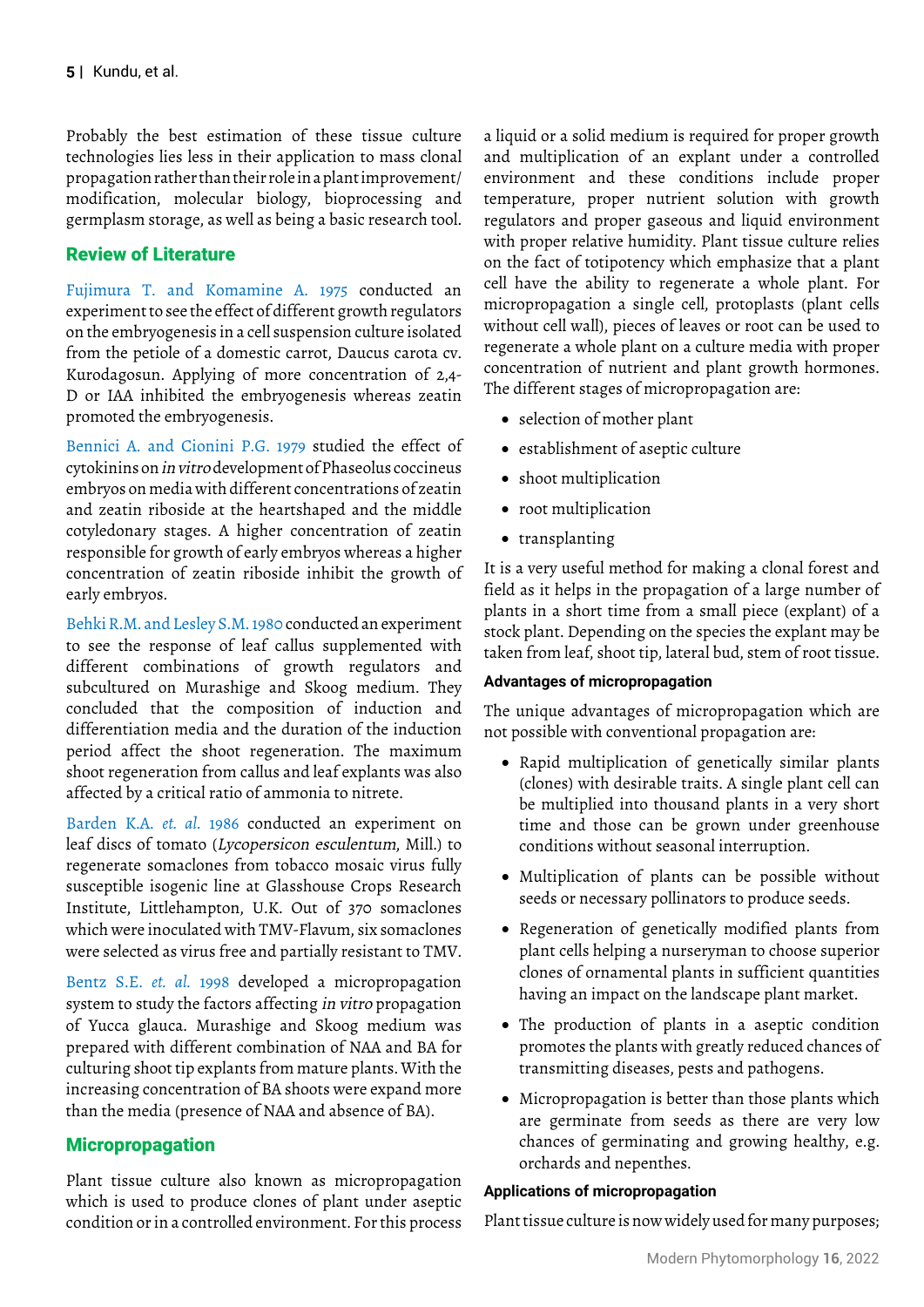Probably the best estimation of these tissue culture technologies lies less in their application to mass clonal propagation rather than their role in a plant improvement/ modification, molecular biology, bioprocessing and germplasm storage, as well as being a basic research tool.

# Review of Literature

Fujimura T. and Komamine A. 1975 conducted an experiment to see the effect of different growth regulators on the embryogenesis in a cell suspension culture isolated from the petiole of a domestic carrot, Daucus carota cv. Kurodagosun. Applying of more concentration of 2,4- D or IAA inhibited the embryogenesis whereas zeatin promoted the embryogenesis.

Bennici A. and Cionini P.G. 1979 studied the effect of cytokinins on in vitro development of Phaseolus coccineus embryos on media with different concentrations of zeatin and zeatin riboside at the heartshaped and the middle cotyledonary stages. A higher concentration of zeatin responsible for growth of early embryos whereas a higher concentration of zeatin riboside inhibit the growth of early embryos.

Behki R.M. and Lesley S.M. 1980 conducted an experiment to see the response of leaf callus supplemented with different combinations of growth regulators and subcultured on Murashige and Skoog medium. They concluded that the composition of induction and differentiation media and the duration of the induction period affect the shoot regeneration. The maximum shoot regeneration from callus and leaf explants was also affected by a critical ratio of ammonia to nitrete.

Barden K.A. *et. al.* 1986 conducted an experiment on leaf discs of tomato (Lycopersicon esculentum, Mill.) to regenerate somaclones from tobacco mosaic virus fully susceptible isogenic line at Glasshouse Crops Research Institute, Littlehampton, U.K. Out of 370 somaclones which were inoculated with TMV-Flavum, six somaclones were selected as virus free and partially resistant to TMV.

Bentz S.E. *et. al.* 1998 developed a micropropagation system to study the factors affecting in vitro propagation of Yucca glauca. Murashige and Skoog medium was prepared with different combination of NAA and BA for culturing shoot tip explants from mature plants. With the increasing concentration of BA shoots were expand more than the media (presence of NAA and absence of BA).

# Micropropagation

Plant tissue culture also known as micropropagation which is used to produce clones of plant under aseptic condition or in a controlled environment. For this process

a liquid or a solid medium is required for proper growth and multiplication of an explant under a controlled environment and these conditions include proper temperature, proper nutrient solution with growth regulators and proper gaseous and liquid environment with proper relative humidity. Plant tissue culture relies on the fact of totipotency which emphasize that a plant cell have the ability to regenerate a whole plant. For micropropagation a single cell, protoplasts (plant cells without cell wall), pieces of leaves or root can be used to regenerate a whole plant on a culture media with proper concentration of nutrient and plant growth hormones. The different stages of micropropagation are:

- • selection of mother plant
- • establishment of aseptic culture
- shoot multiplication
- root multiplication
- • transplanting

It is a very useful method for making a clonal forest and field as it helps in the propagation of a large number of plants in a short time from a small piece (explant) of a stock plant. Depending on the species the explant may be taken from leaf, shoot tip, lateral bud, stem of root tissue.

### **Advantages of micropropagation**

The unique advantages of micropropagation which are not possible with conventional propagation are:

- • Rapid multiplication of genetically similar plants (clones) with desirable traits. A single plant cell can be multiplied into thousand plants in a very short time and those can be grown under greenhouse conditions without seasonal interruption.
- Multiplication of plants can be possible without seeds or necessary pollinators to produce seeds.
- • Regeneration of genetically modified plants from plant cells helping a nurseryman to choose superior clones of ornamental plants in sufficient quantities having an impact on the landscape plant market.
- The production of plants in a aseptic condition promotes the plants with greatly reduced chances of transmitting diseases, pests and pathogens.
- Micropropagation is better than those plants which are germinate from seeds as there are very low chances of germinating and growing healthy, e.g. orchards and nepenthes.

### **Applications of micropropagation**

Plant tissue culture is now widely used for many purposes;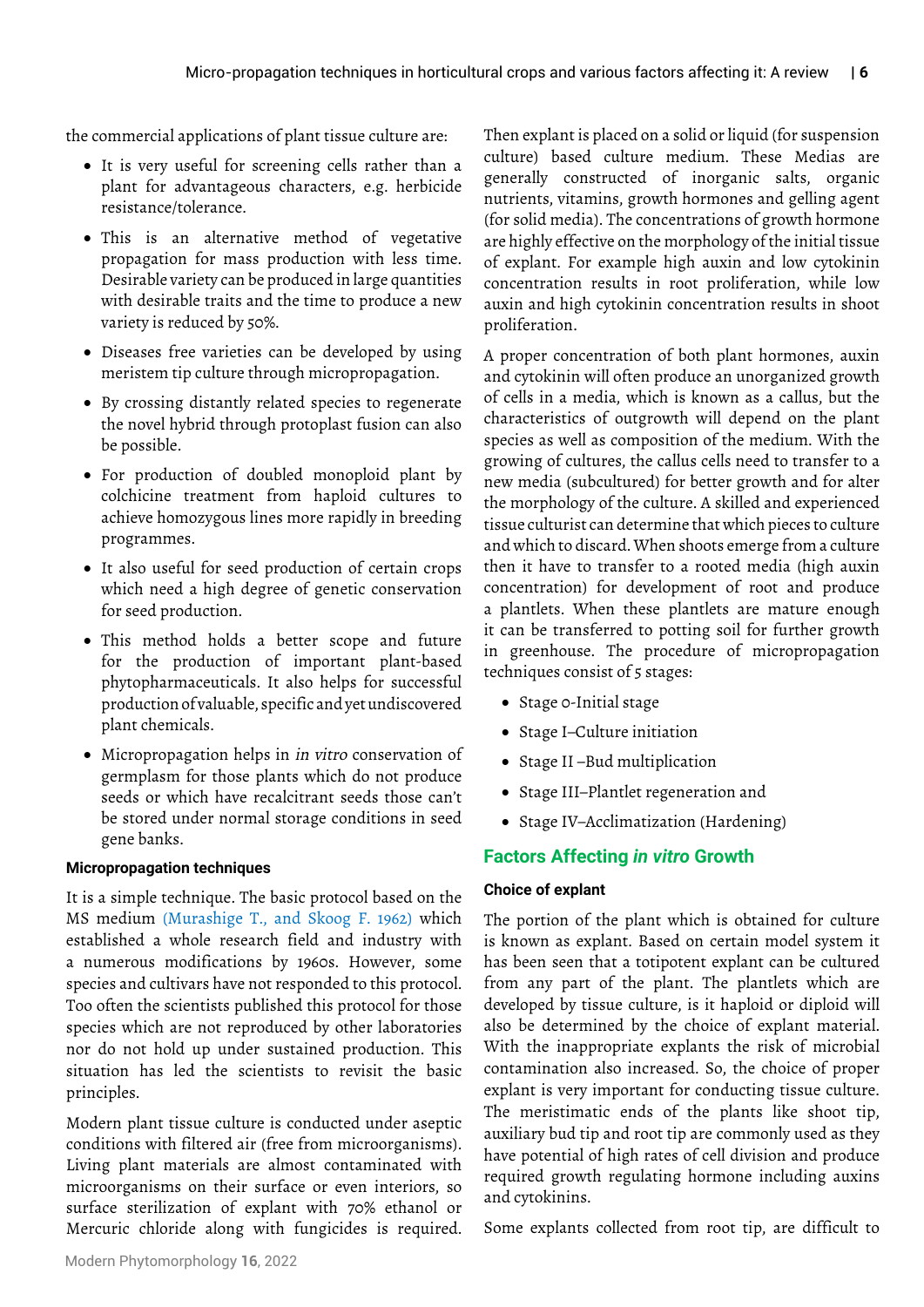the commercial applications of plant tissue culture are:

- It is very useful for screening cells rather than a plant for advantageous characters, e.g. herbicide resistance/tolerance.
- This is an alternative method of vegetative propagation for mass production with less time. Desirable variety can be produced in large quantities with desirable traits and the time to produce a new variety is reduced by 50%.
- Diseases free varieties can be developed by using meristem tip culture through micropropagation.
- • By crossing distantly related species to regenerate the novel hybrid through protoplast fusion can also be possible.
- • For production of doubled monoploid plant by colchicine treatment from haploid cultures to achieve homozygous lines more rapidly in breeding programmes.
- • It also useful for seed production of certain crops which need a high degree of genetic conservation for seed production.
- • This method holds a better scope and future for the production of important plant-based phytopharmaceuticals. It also helps for successful production of valuable, specific and yet undiscovered plant chemicals.
- Micropropagation helps in *in vitro* conservation of germplasm for those plants which do not produce seeds or which have recalcitrant seeds those can't be stored under normal storage conditions in seed gene banks.

### **Micropropagation techniques**

It is a simple technique. The basic protocol based on the MS medium (Murashige T., and Skoog F. 1962) which established a whole research field and industry with a numerous modifications by 1960s. However, some species and cultivars have not responded to this protocol. Too often the scientists published this protocol for those species which are not reproduced by other laboratories nor do not hold up under sustained production. This situation has led the scientists to revisit the basic principles.

Modern plant tissue culture is conducted under aseptic conditions with filtered air (free from microorganisms). Living plant materials are almost contaminated with microorganisms on their surface or even interiors, so surface sterilization of explant with 70% ethanol or Mercuric chloride along with fungicides is required.

Then explant is placed on a solid or liquid (for suspension culture) based culture medium. These Medias are generally constructed of inorganic salts, organic nutrients, vitamins, growth hormones and gelling agent (for solid media). The concentrations of growth hormone are highly effective on the morphology of the initial tissue of explant. For example high auxin and low cytokinin concentration results in root proliferation, while low auxin and high cytokinin concentration results in shoot proliferation.

A proper concentration of both plant hormones, auxin and cytokinin will often produce an unorganized growth of cells in a media, which is known as a callus, but the characteristics of outgrowth will depend on the plant species as well as composition of the medium. With the growing of cultures, the callus cells need to transfer to a new media (subcultured) for better growth and for alter the morphology of the culture. A skilled and experienced tissue culturist can determine that which pieces to culture and which to discard. When shoots emerge from a culture then it have to transfer to a rooted media (high auxin concentration) for development of root and produce a plantlets. When these plantlets are mature enough it can be transferred to potting soil for further growth in greenhouse. The procedure of micropropagation techniques consist of 5 stages:

- • Stage 0-Initial stage
- Stage I–Culture initiation
- Stage II-Bud multiplication
- • Stage III–Plantlet regeneration and
- • Stage IV–Acclimatization (Hardening)

# **Factors Affecting** *in vitro* **Growth**

### **Choice of explant**

The portion of the plant which is obtained for culture is known as explant. Based on certain model system it has been seen that a totipotent explant can be cultured from any part of the plant. The plantlets which are developed by tissue culture, is it haploid or diploid will also be determined by the choice of explant material. With the inappropriate explants the risk of microbial contamination also increased. So, the choice of proper explant is very important for conducting tissue culture. The meristimatic ends of the plants like shoot tip, auxiliary bud tip and root tip are commonly used as they have potential of high rates of cell division and produce required growth regulating hormone including auxins and cytokinins.

Some explants collected from root tip, are difficult to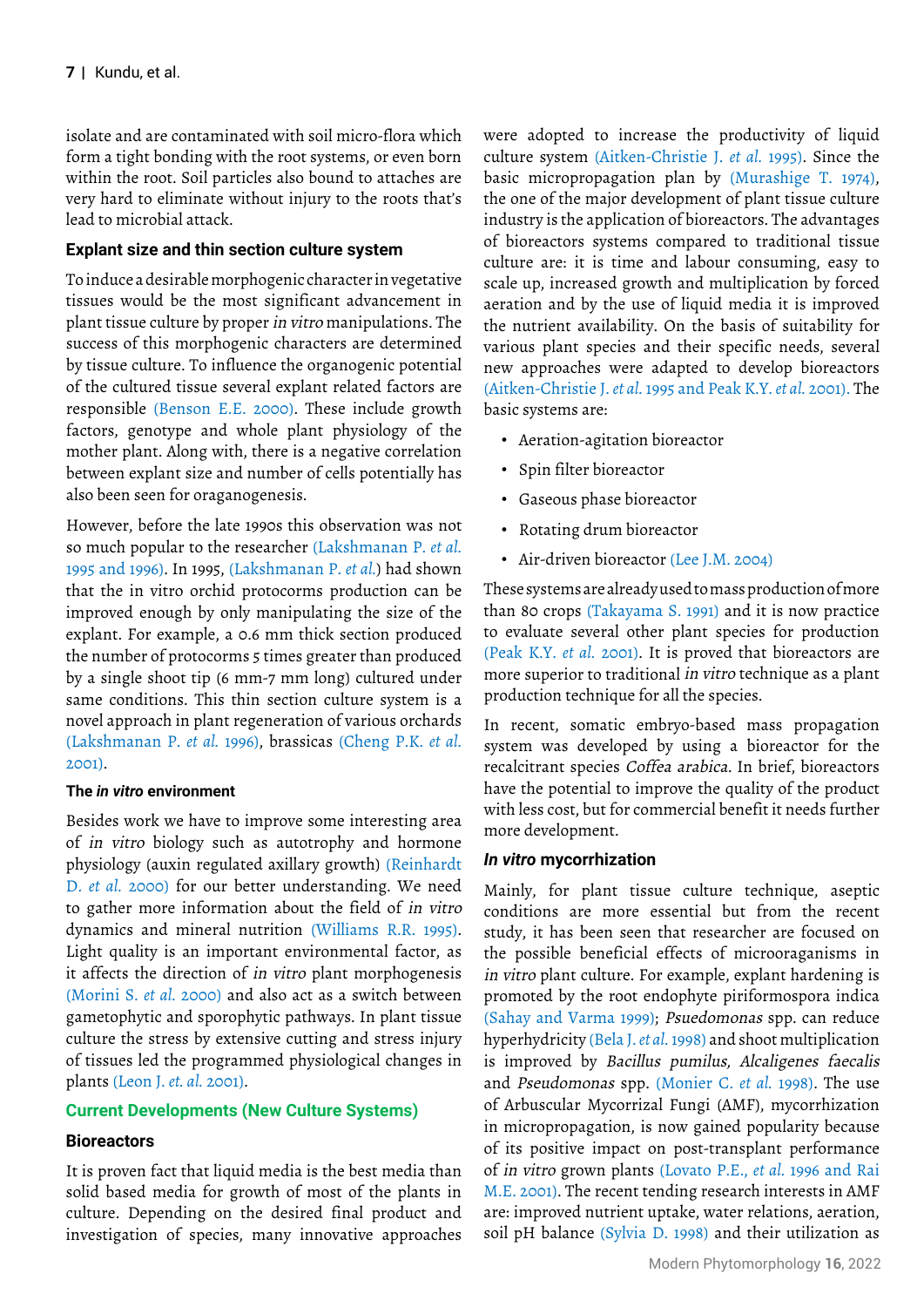isolate and are contaminated with soil micro-flora which form a tight bonding with the root systems, or even born within the root. Soil particles also bound to attaches are very hard to eliminate without injury to the roots that's lead to microbial attack.

### **Explant size and thin section culture system**

To induce a desirable morphogenic character in vegetative tissues would be the most significant advancement in plant tissue culture by proper in vitro manipulations. The success of this morphogenic characters are determined by tissue culture. To influence the organogenic potential of the cultured tissue several explant related factors are responsible (Benson E.E. 2000). These include growth factors, genotype and whole plant physiology of the mother plant. Along with, there is a negative correlation between explant size and number of cells potentially has also been seen for oraganogenesis.

However, before the late 1990s this observation was not so much popular to the researcher (Lakshmanan P. *et al.*  1995 and 1996). In 1995, (Lakshmanan P. *et al.*) had shown that the in vitro orchid protocorms production can be improved enough by only manipulating the size of the explant. For example, a 0.6 mm thick section produced the number of protocorms 5 times greater than produced by a single shoot tip (6 mm-7 mm long) cultured under same conditions. This thin section culture system is a novel approach in plant regeneration of various orchards (Lakshmanan P. *et al.* 1996), brassicas (Cheng P.K. *et al.*  2001).

### **The** *in vitro* **environment**

Besides work we have to improve some interesting area of in vitro biology such as autotrophy and hormone physiology (auxin regulated axillary growth) (Reinhardt D. *et al.* 2000) for our better understanding. We need to gather more information about the field of in vitro dynamics and mineral nutrition (Williams R.R. 1995). Light quality is an important environmental factor, as it affects the direction of in vitro plant morphogenesis (Morini S. *et al.* 2000) and also act as a switch between gametophytic and sporophytic pathways. In plant tissue culture the stress by extensive cutting and stress injury of tissues led the programmed physiological changes in plants (Leon J. *et. al.* 2001).

### **Current Developments (New Culture Systems)**

### **Bioreactors**

It is proven fact that liquid media is the best media than solid based media for growth of most of the plants in culture. Depending on the desired final product and investigation of species, many innovative approaches

were adopted to increase the productivity of liquid culture system (Aitken-Christie J. *et al.* 1995). Since the basic micropropagation plan by (Murashige T. 1974), the one of the major development of plant tissue culture industry is the application of bioreactors. The advantages of bioreactors systems compared to traditional tissue culture are: it is time and labour consuming, easy to scale up, increased growth and multiplication by forced aeration and by the use of liquid media it is improved the nutrient availability. On the basis of suitability for various plant species and their specific needs, several new approaches were adapted to develop bioreactors (Aitken-Christie J. *et al.* 1995 and Peak K.Y. *et al.* 2001). The basic systems are:

- Aeration-agitation bioreactor
- Spin filter bioreactor
- Gaseous phase bioreactor
- Rotating drum bioreactor
- Air-driven bioreactor (Lee J.M. 2004)

These systems are already used to mass production of more than 80 crops (Takayama S. 1991) and it is now practice to evaluate several other plant species for production (Peak K.Y. *et al.* 2001). It is proved that bioreactors are more superior to traditional in vitro technique as a plant production technique for all the species.

In recent, somatic embryo-based mass propagation system was developed by using a bioreactor for the recalcitrant species Coffea arabica. In brief, bioreactors have the potential to improve the quality of the product with less cost, but for commercial benefit it needs further more development.

### *In vitro* **mycorrhization**

Mainly, for plant tissue culture technique, aseptic conditions are more essential but from the recent study, it has been seen that researcher are focused on the possible beneficial effects of microoraganisms in in vitro plant culture. For example, explant hardening is promoted by the root endophyte piriformospora indica (Sahay and Varma 1999); Psuedomonas spp. can reduce hyperhydricity (Bela J. *et al.*1998) and shoot multiplication is improved by Bacillus pumilus, Alcaligenes faecalis and Pseudomonas spp. (Monier C. *et al.* 1998). The use of Arbuscular Mycorrizal Fungi (AMF), mycorrhization in micropropagation, is now gained popularity because of its positive impact on post-transplant performance of in vitro grown plants (Lovato P.E., *et al.* 1996 and Rai M.E. 2001). The recent tending research interests in AMF are: improved nutrient uptake, water relations, aeration, soil pH balance (Sylvia D. 1998) and their utilization as